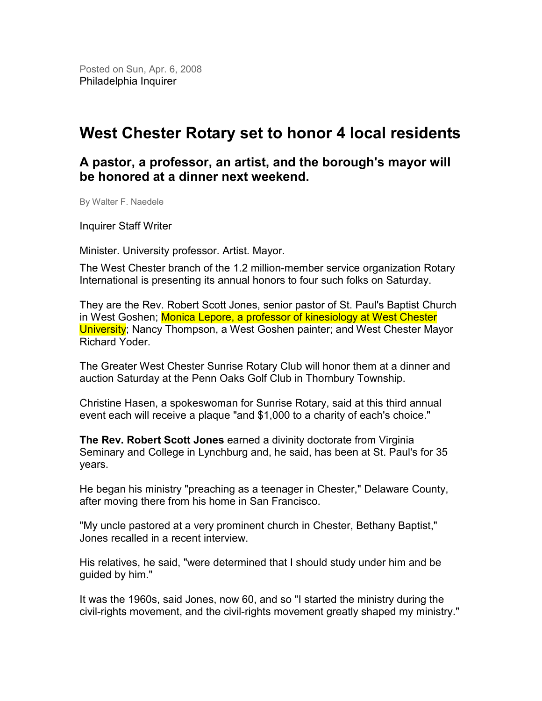Posted on Sun, Apr. 6, 2008 Philadelphia Inquirer

## West Chester Rotary set to honor 4 local residents

## A pastor, a professor, an artist, and the borough's mayor will be honored at a dinner next weekend.

By Walter F. Naedele

Inquirer Staff Writer

Minister. University professor. Artist. Mayor.

The West Chester branch of the 1.2 million-member service organization Rotary International is presenting its annual honors to four such folks on Saturday.

They are the Rev. Robert Scott Jones, senior pastor of St. Paul's Baptist Church in West Goshen; Monica Lepore, a professor of kinesiology at West Chester University; Nancy Thompson, a West Goshen painter; and West Chester Mayor Richard Yoder.

The Greater West Chester Sunrise Rotary Club will honor them at a dinner and auction Saturday at the Penn Oaks Golf Club in Thornbury Township.

Christine Hasen, a spokeswoman for Sunrise Rotary, said at this third annual event each will receive a plaque "and \$1,000 to a charity of each's choice."

The Rev. Robert Scott Jones earned a divinity doctorate from Virginia Seminary and College in Lynchburg and, he said, has been at St. Paul's for 35 years.

He began his ministry "preaching as a teenager in Chester," Delaware County, after moving there from his home in San Francisco.

"My uncle pastored at a very prominent church in Chester, Bethany Baptist," Jones recalled in a recent interview.

His relatives, he said, "were determined that I should study under him and be guided by him."

It was the 1960s, said Jones, now 60, and so "I started the ministry during the civil-rights movement, and the civil-rights movement greatly shaped my ministry."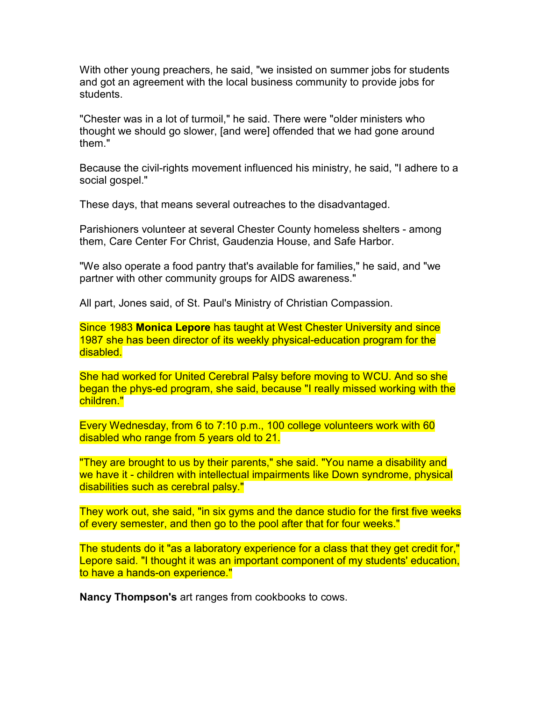With other young preachers, he said, "we insisted on summer jobs for students and got an agreement with the local business community to provide jobs for students.

"Chester was in a lot of turmoil," he said. There were "older ministers who thought we should go slower, [and were] offended that we had gone around them."

Because the civil-rights movement influenced his ministry, he said, "I adhere to a social gospel."

These days, that means several outreaches to the disadvantaged.

Parishioners volunteer at several Chester County homeless shelters - among them, Care Center For Christ, Gaudenzia House, and Safe Harbor.

"We also operate a food pantry that's available for families," he said, and "we partner with other community groups for AIDS awareness."

All part, Jones said, of St. Paul's Ministry of Christian Compassion.

Since 1983 Monica Lepore has taught at West Chester University and since 1987 she has been director of its weekly physical-education program for the disabled.

She had worked for United Cerebral Palsy before moving to WCU. And so she began the phys-ed program, she said, because "I really missed working with the children."

Every Wednesday, from 6 to 7:10 p.m., 100 college volunteers work with 60 disabled who range from 5 years old to 21.

"They are brought to us by their parents," she said. "You name a disability and we have it - children with intellectual impairments like Down syndrome, physical disabilities such as cerebral palsy."

They work out, she said, "in six gyms and the dance studio for the first five weeks of every semester, and then go to the pool after that for four weeks."

The students do it "as a laboratory experience for a class that they get credit for," Lepore said. "I thought it was an important component of my students' education, to have a hands-on experience."

Nancy Thompson's art ranges from cookbooks to cows.